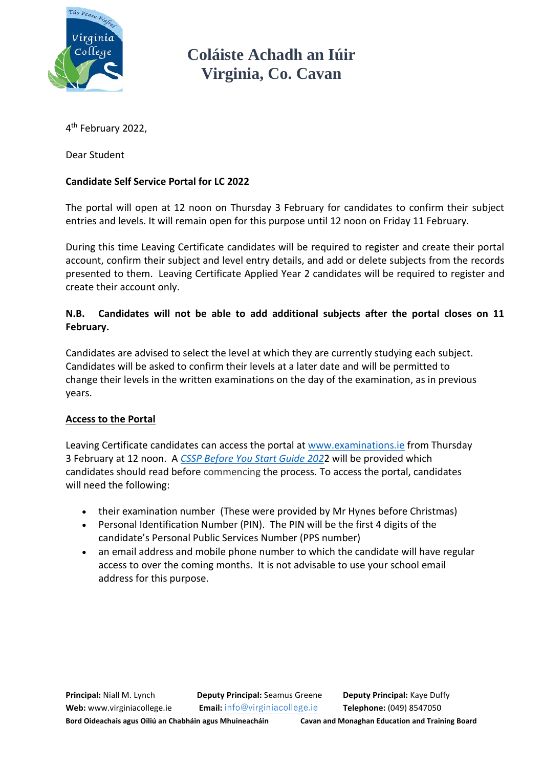

**Coláiste Achadh an Iúir Virginia, Co. Cavan**

4<sup>th</sup> February 2022,

Dear Student

## **Candidate Self Service Portal for LC 2022**

The portal will open at 12 noon on Thursday 3 February for candidates to confirm their subject entries and levels. It will remain open for this purpose until 12 noon on Friday 11 February.

During this time Leaving Certificate candidates will be required to register and create their portal account, confirm their subject and level entry details, and add or delete subjects from the records presented to them. Leaving Certificate Applied Year 2 candidates will be required to register and create their account only.

## **N.B. Candidates will not be able to add additional subjects after the portal closes on 11 February.**

Candidates are advised to select the level at which they are currently studying each subject. Candidates will be asked to confirm their levels at a later date and will be permitted to change their levels in the written examinations on the day of the examination, as in previous years.

## **Access to the Portal**

Leaving Certificate candidates can access the portal at [www.examinations.ie](http://www.examinations.ie/) from Thursday 3 February at 12 noon. A *[CSSP Before You Start Guide 202](https://stg.examinations.ie/cssp/2021/CGSP_BeforeYouStartGuide-Phase4.pdf)*2 will be provided which candidates should read before commencing the process. To access the portal, candidates will need the following:

- their examination number (These were provided by Mr Hynes before Christmas)
- Personal Identification Number (PIN). The PIN will be the first 4 digits of the candidate's Personal Public Services Number (PPS number)
- an email address and mobile phone number to which the candidate will have regular access to over the coming months. It is not advisable to use your school email address for this purpose.